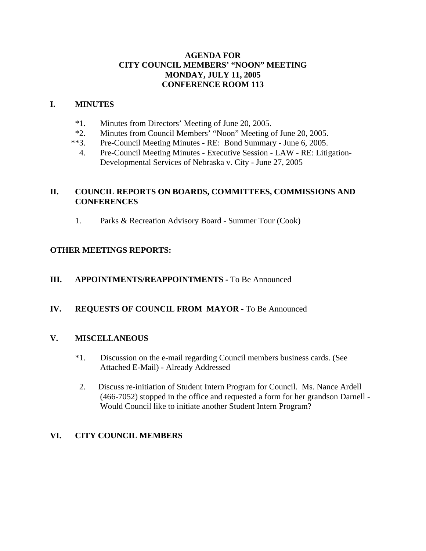### **AGENDA FOR CITY COUNCIL MEMBERS' "NOON" MEETING MONDAY, JULY 11, 2005 CONFERENCE ROOM 113**

### **I. MINUTES**

- \*1. Minutes from Directors' Meeting of June 20, 2005.
- \*2. Minutes from Council Members' "Noon" Meeting of June 20, 2005.
- \*\*3. Pre-Council Meeting Minutes RE: Bond Summary June 6, 2005.
	- 4. Pre-Council Meeting Minutes Executive Session LAW RE: Litigation-Developmental Services of Nebraska v. City - June 27, 2005

## **II. COUNCIL REPORTS ON BOARDS, COMMITTEES, COMMISSIONS AND CONFERENCES**

1. Parks & Recreation Advisory Board - Summer Tour (Cook)

# **OTHER MEETINGS REPORTS:**

## **III.** APPOINTMENTS/REAPPOINTMENTS - To Be Announced

## **IV. REQUESTS OF COUNCIL FROM MAYOR -** To Be Announced

## **V. MISCELLANEOUS**

- \*1. Discussion on the e-mail regarding Council members business cards. (See Attached E-Mail) - Already Addressed
- 2. Discuss re-initiation of Student Intern Program for Council. Ms. Nance Ardell (466-7052) stopped in the office and requested a form for her grandson Darnell - Would Council like to initiate another Student Intern Program?

## **VI. CITY COUNCIL MEMBERS**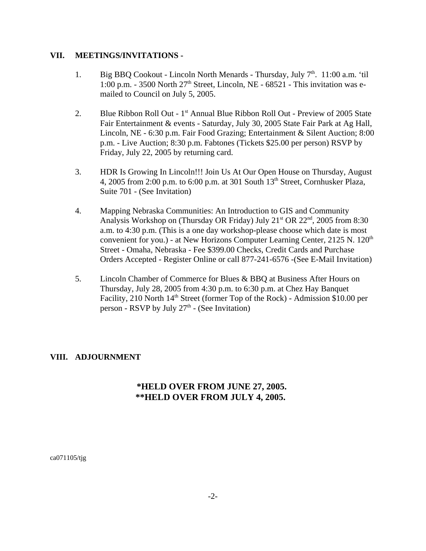#### **VII. MEETINGS/INVITATIONS -**

- 1. Big BBQ Cookout Lincoln North Menards Thursday, July  $7<sup>th</sup>$ . 11:00 a.m. 'til 1:00 p.m. - 3500 North  $27<sup>th</sup>$  Street, Lincoln, NE - 68521 - This invitation was emailed to Council on July 5, 2005.
- 2. Blue Ribbon Roll Out 1<sup>st</sup> Annual Blue Ribbon Roll Out Preview of 2005 State Fair Entertainment & events - Saturday, July 30, 2005 State Fair Park at Ag Hall, Lincoln, NE - 6:30 p.m. Fair Food Grazing; Entertainment & Silent Auction; 8:00 p.m. - Live Auction; 8:30 p.m. Fabtones (Tickets \$25.00 per person) RSVP by Friday, July 22, 2005 by returning card.
- 3. HDR Is Growing In Lincoln!!! Join Us At Our Open House on Thursday, August 4, 2005 from 2:00 p.m. to 6:00 p.m. at 301 South  $13<sup>th</sup>$  Street, Cornhusker Plaza, Suite 701 - (See Invitation)
- 4. Mapping Nebraska Communities: An Introduction to GIS and Community Analysis Workshop on (Thursday OR Friday) July  $21<sup>st</sup>$  OR  $22<sup>nd</sup>$ , 2005 from 8:30 a.m. to 4:30 p.m. (This is a one day workshop-please choose which date is most convenient for you.) - at New Horizons Computer Learning Center,  $2125$  N.  $120<sup>th</sup>$ Street - Omaha, Nebraska - Fee \$399.00 Checks, Credit Cards and Purchase Orders Accepted - Register Online or call 877-241-6576 -(See E-Mail Invitation)
- 5. Lincoln Chamber of Commerce for Blues & BBQ at Business After Hours on Thursday, July 28, 2005 from 4:30 p.m. to 6:30 p.m. at Chez Hay Banquet Facility, 210 North  $14<sup>th</sup>$  Street (former Top of the Rock) - Admission \$10.00 per person - RSVP by July  $27<sup>th</sup>$  - (See Invitation)

### **VIII. ADJOURNMENT**

## **\*HELD OVER FROM JUNE 27, 2005. \*\*HELD OVER FROM JULY 4, 2005.**

ca071105/tjg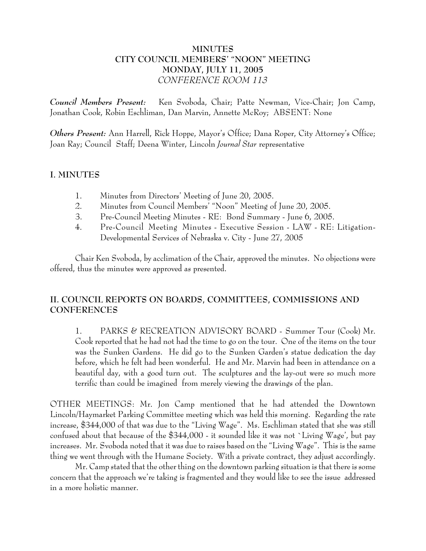## **MINUTES CITY COUNCIL MEMBERS' "NOON" MEETING MONDAY, JULY 11, 2005** *CONFERENCE ROOM 113*

*Council Members Present:* Ken Svoboda, Chair; Patte Newman, Vice-Chair; Jon Camp, Jonathan Cook, Robin Eschliman, Dan Marvin, Annette McRoy; ABSENT: None

*Others Present:* Ann Harrell, Rick Hoppe, Mayor's Office; Dana Roper, City Attorney's Office; Joan Ray; Council Staff; Deena Winter, Lincoln *Journal Star* representative

### **I. MINUTES**

- 1. Minutes from Directors' Meeting of June 20, 2005.
- 2. Minutes from Council Members' "Noon" Meeting of June 20, 2005.
- 3. Pre-Council Meeting Minutes RE: Bond Summary June 6, 2005.
- 4. Pre-Council Meeting Minutes Executive Session LAW RE: Litigation-Developmental Services of Nebraska v. City - June 27, 2005

Chair Ken Svoboda, by acclimation of the Chair, approved the minutes. No objections were offered, thus the minutes were approved as presented.

# **II. COUNCIL REPORTS ON BOARDS, COMMITTEES, COMMISSIONS AND CONFERENCES**

1. PARKS & RECREATION ADVISORY BOARD - Summer Tour (Cook) Mr. Cook reported that he had not had the time to go on the tour. One of the items on the tour was the Sunken Gardens. He did go to the Sunken Garden's statue dedication the day before, which he felt had been wonderful. He and Mr. Marvin had been in attendance on a beautiful day, with a good turn out. The sculptures and the lay-out were so much more terrific than could be imagined from merely viewing the drawings of the plan.

OTHER MEETINGS: Mr. Jon Camp mentioned that he had attended the Downtown Lincoln/Haymarket Parking Committee meeting which was held this morning. Regarding the rate increase, \$344,000 of that was due to the "Living Wage". Ms. Eschliman stated that she was still confused about that because of the \$344,000 - it sounded like it was not `Living Wage', but pay increases. Mr. Svoboda noted that it was due to raises based on the "Living Wage". This is the same thing we went through with the Humane Society. With a private contract, they adjust accordingly.

Mr. Camp stated that the other thing on the downtown parking situation is that there is some concern that the approach we're taking is fragmented and they would like to see the issue addressed in a more holistic manner.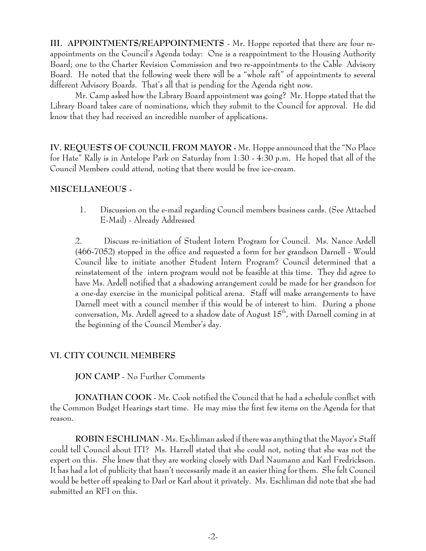**III. APPOINTMENTS/REAPPOINTMENTS** - Mr. Hoppe reported that there are four reappointments on the Council's Agenda today: One is a reappointment to the Housing Authority Board; one to the Charter Revision Commission and two re-appointments to the Cable Advisory Board. He noted that the following week there will be a "whole raft" of appointments to several different Advisory Boards. That's all that is pending for the Agenda right now.

Mr. Camp asked how the Library Board appointment was going? Mr. Hoppe stated that the Library Board takes care of nominations, which they submit to the Council for approval. He did know that they had received an incredible number of applications.

**IV. REQUESTS OF COUNCIL FROM MAYOR -** Mr. Hoppe announced that the "No Place for Hate" Rally is in Antelope Park on Saturday from 1:30 - 4:30 p.m. He hoped that all of the Council Members could attend, noting that there would be free ice-cream.

### **MISCELLANEOUS -**

 1. Discussion on the e-mail regarding Council members business cards. (See Attached E-Mail) - Already Addressed

2. Discuss re-initiation of Student Intern Program for Council. Ms. Nance Ardell (466-7052) stopped in the office and requested a form for her grandson Darnell - Would Council like to initiate another Student Intern Program? Council determined that a reinstatement of the intern program would not be feasible at this time. They did agree to have Ms. Ardell notified that a shadowing arrangement could be made for her grandson for a one-day exercise in the municipal political arena. Staff will make arrangements to have Darnell meet with a council member if this would be of interest to him. During a phone conversation, Ms. Ardell agreed to a shadow date of August 15<sup>th</sup>, with Darnell coming in at the beginning of the Council Member's day.

### **VI. CITY COUNCIL MEMBERS**

**JON CAMP** - No Further Comments

**JONATHAN COOK** - Mr. Cook notified the Council that he had a schedule conflict with the Common Budget Hearings start time. He may miss the first few items on the Agenda for that reason.

**ROBIN ESCHLIMAN** - Ms. Eschliman asked if there was anything that the Mayor's Staff could tell Council about ITI? Ms. Harrell stated that she could not, noting that she was not the expert on this. She knew that they are working closely with Darl Naumann and Karl Fredrickson. It has had a lot of publicity that hasn't necessarily made it an easier thing for them. She felt Council would be better off speaking to Darl or Karl about it privately. Ms. Eschliman did note that she had submitted an RFI on this.